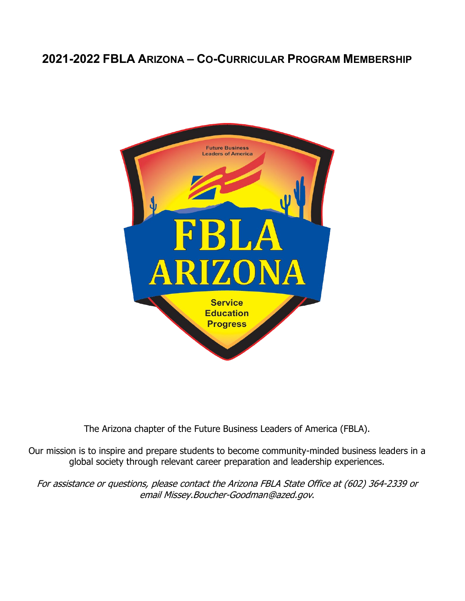# **2021-2022 FBLA ARIZONA – CO-CURRICULAR PROGRAM MEMBERSHIP**



The Arizona chapter of the Future Business Leaders of America (FBLA).

Our mission is to inspire and prepare students to become community-minded business leaders in a global society through relevant career preparation and leadership experiences.

For assistance or questions, please contact the Arizona FBLA State Office at (602) 364-2339 or email Missey.Boucher-Goodman@azed.gov.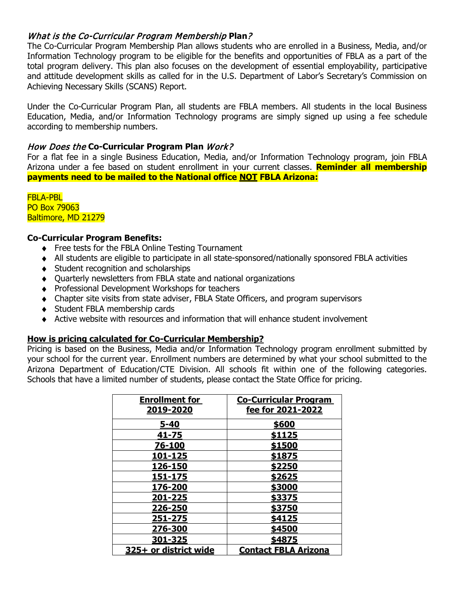## What is the Co-Curricular Program Membership **Plan**?

The Co-Curricular Program Membership Plan allows students who are enrolled in a Business, Media, and/or Information Technology program to be eligible for the benefits and opportunities of FBLA as a part of the total program delivery. This plan also focuses on the development of essential employability, participative and attitude development skills as called for in the U.S. Department of Labor's Secretary's Commission on Achieving Necessary Skills (SCANS) Report.

Under the Co-Curricular Program Plan, all students are FBLA members. All students in the local Business Education, Media, and/or Information Technology programs are simply signed up using a fee schedule according to membership numbers.

### How Does the **Co-Curricular Program Plan** Work?

For a flat fee in a single Business Education, Media, and/or Information Technology program, join FBLA Arizona under a fee based on student enrollment in your current classes. **Reminder all membership payments need to be mailed to the National office NOT FBLA Arizona:**

FBLA-PBL PO Box 79063 Baltimore, MD 21279

#### **Co-Curricular Program Benefits:**

- ♦ Free tests for the FBLA Online Testing Tournament
- ♦ All students are eligible to participate in all state-sponsored/nationally sponsored FBLA activities
- ♦ Student recognition and scholarships
- ♦ Quarterly newsletters from FBLA state and national organizations
- ♦ Professional Development Workshops for teachers
- ♦ Chapter site visits from state adviser, FBLA State Officers, and program supervisors
- ♦ Student FBLA membership cards
- ♦ Active website with resources and information that will enhance student involvement

#### **How is pricing calculated for Co-Curricular Membership?**

Pricing is based on the Business, Media and/or Information Technology program enrollment submitted by your school for the current year. Enrollment numbers are determined by what your school submitted to the Arizona Department of Education/CTE Division. All schools fit within one of the following categories. Schools that have a limited number of students, please contact the State Office for pricing.

| <b>Enrollment for</b><br>2019-2020 | <b>Co-Curricular Program</b><br>fee for 2021-2022 |
|------------------------------------|---------------------------------------------------|
| $5 - 40$                           | \$600                                             |
| 41-75                              | \$1125                                            |
| 76-100                             | \$1500                                            |
| 101-125                            | \$1875                                            |
| 126-150                            | \$2250                                            |
| 151-175                            | \$2625                                            |
| 176-200                            | <u>\$3000</u>                                     |
| 201-225                            | \$3375                                            |
| 226-250                            | \$3750                                            |
| 251-275                            | \$4125                                            |
| 276-300                            | \$4500                                            |
| 301-325                            | \$4875                                            |
| 325+ or district wide              | <b>Contact FBLA Arizona</b>                       |